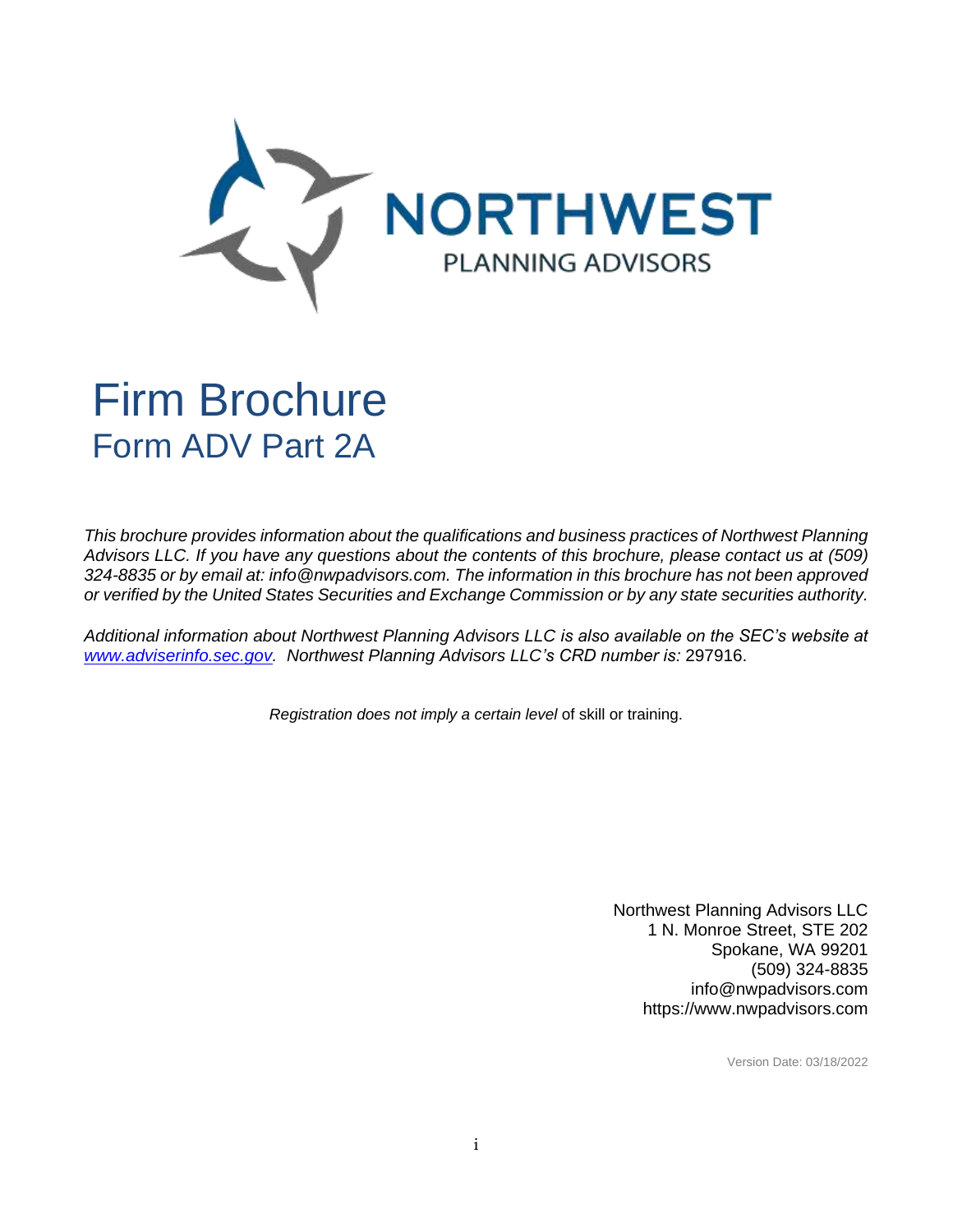

# Firm Brochure Form ADV Part 2A

*This brochure provides information about the qualifications and business practices of Northwest Planning Advisors LLC. If you have any questions about the contents of this brochure, please contact us at (509) 324-8835 or by email at: info@nwpadvisors.com. The information in this brochure has not been approved or verified by the United States Securities and Exchange Commission or by any state securities authority.*

*Additional information about Northwest Planning Advisors LLC is also available on the SEC's website at [www.adviserinfo.sec.gov.](file:///C:/Users/Ann%20Hauerland/Documents/ADV%20Part%202A/www.adviserinfo.sec.gov) Northwest Planning Advisors LLC's CRD number is:* 297916.

*Registration does not imply a certain level* of skill or training.

Northwest Planning Advisors LLC 1 N. Monroe Street, STE 202 Spokane, WA 99201 (509) 324-8835 info@nwpadvisors.com https://www.nwpadvisors.com

Version Date: 03/18/2022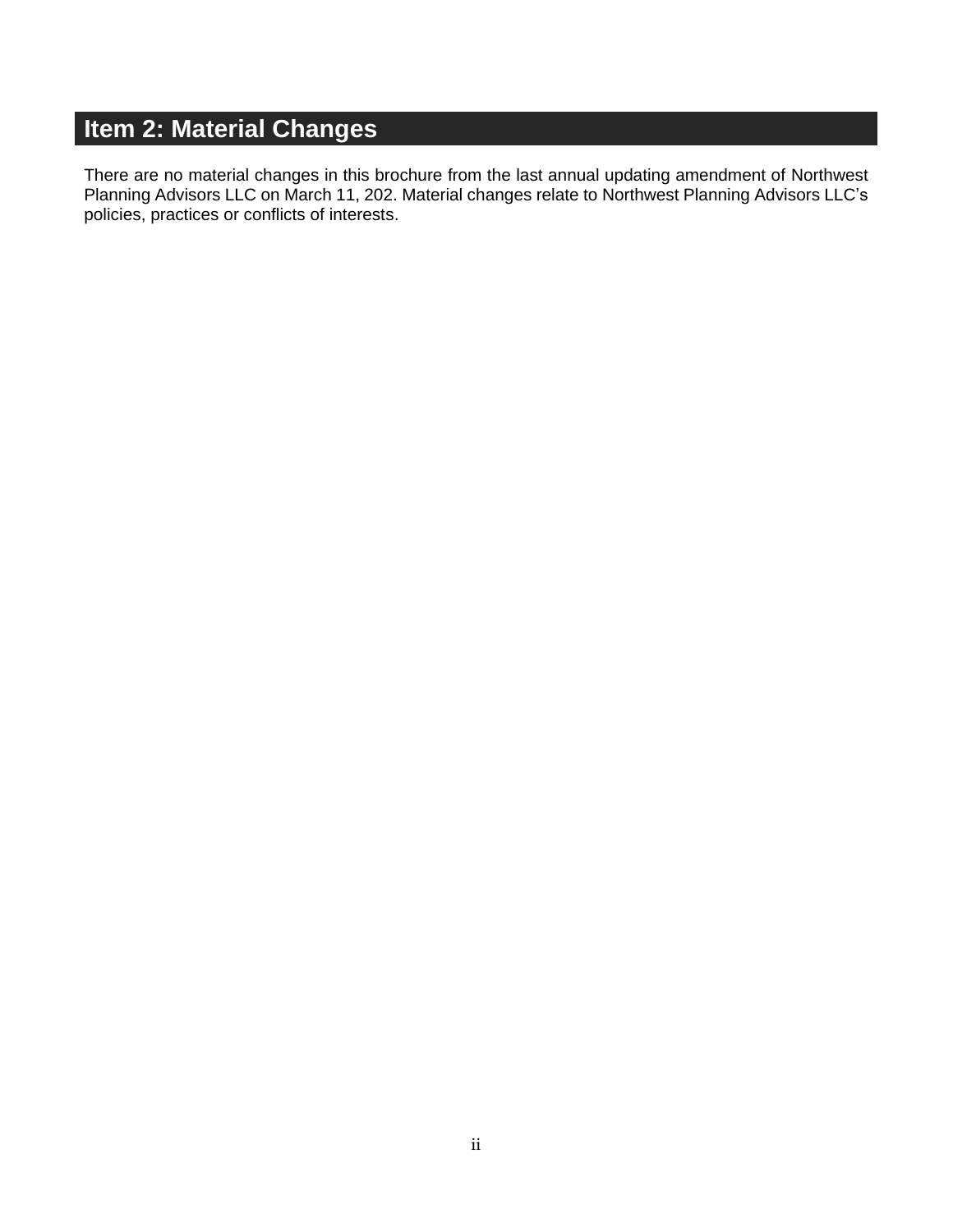## <span id="page-1-0"></span>**Item 2: Material Changes**

There are no material changes in this brochure from the last annual updating amendment of Northwest Planning Advisors LLC on March 11, 202. Material changes relate to Northwest Planning Advisors LLC's policies, practices or conflicts of interests.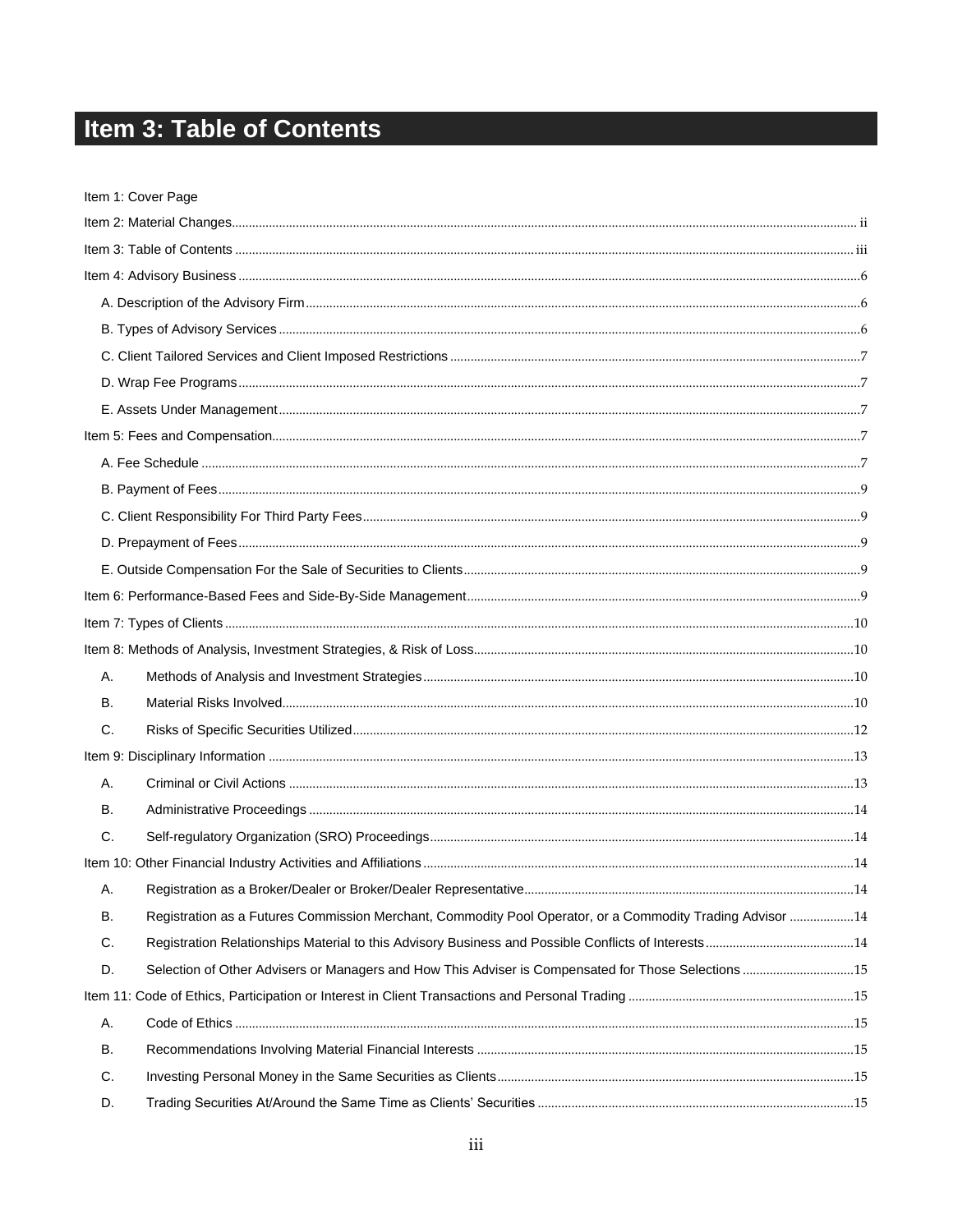## <span id="page-2-0"></span>Item 3: Table of Contents

|    | Item 1: Cover Page                                                                                        |  |
|----|-----------------------------------------------------------------------------------------------------------|--|
|    |                                                                                                           |  |
|    |                                                                                                           |  |
|    |                                                                                                           |  |
|    |                                                                                                           |  |
|    |                                                                                                           |  |
|    |                                                                                                           |  |
|    |                                                                                                           |  |
|    |                                                                                                           |  |
|    |                                                                                                           |  |
|    |                                                                                                           |  |
|    |                                                                                                           |  |
|    |                                                                                                           |  |
|    |                                                                                                           |  |
|    |                                                                                                           |  |
|    |                                                                                                           |  |
|    |                                                                                                           |  |
|    |                                                                                                           |  |
| Α. |                                                                                                           |  |
| В. |                                                                                                           |  |
| C. |                                                                                                           |  |
|    |                                                                                                           |  |
| А. |                                                                                                           |  |
| В. |                                                                                                           |  |
| C. |                                                                                                           |  |
|    |                                                                                                           |  |
| А. |                                                                                                           |  |
| В. | Registration as a Futures Commission Merchant, Commodity Pool Operator, or a Commodity Trading Advisor 14 |  |
| C. |                                                                                                           |  |
| D. | Selection of Other Advisers or Managers and How This Adviser is Compensated for Those Selections15        |  |
|    |                                                                                                           |  |
| А. |                                                                                                           |  |
| В. |                                                                                                           |  |
| C. |                                                                                                           |  |
| D. |                                                                                                           |  |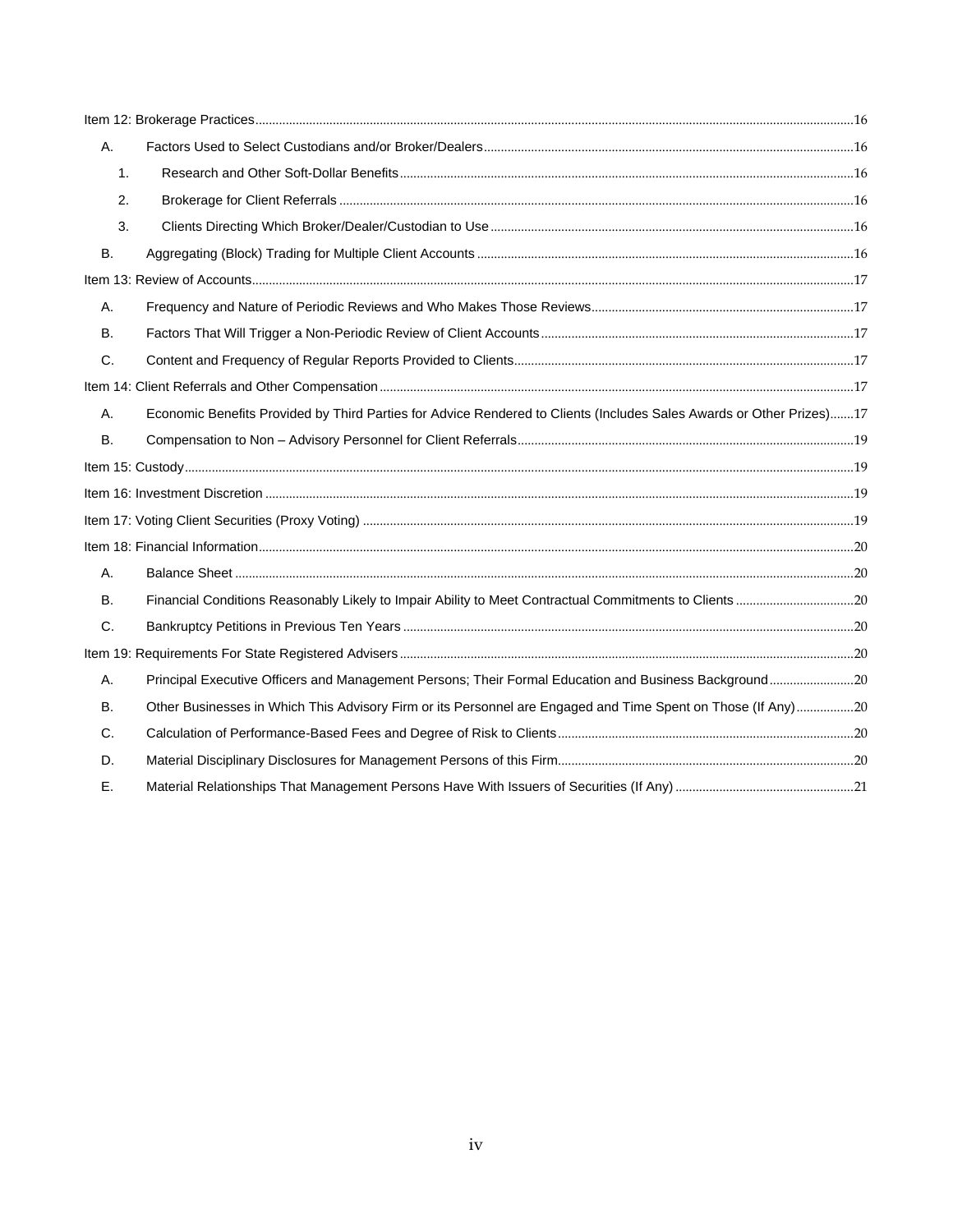| А.        |                                                                                                                      |  |
|-----------|----------------------------------------------------------------------------------------------------------------------|--|
| 1.        |                                                                                                                      |  |
| 2.        |                                                                                                                      |  |
| 3.        |                                                                                                                      |  |
| Β.        |                                                                                                                      |  |
|           |                                                                                                                      |  |
| А.        |                                                                                                                      |  |
| B.        |                                                                                                                      |  |
| C.        |                                                                                                                      |  |
|           |                                                                                                                      |  |
| A.        | Economic Benefits Provided by Third Parties for Advice Rendered to Clients (Includes Sales Awards or Other Prizes)17 |  |
| <b>B.</b> |                                                                                                                      |  |
|           |                                                                                                                      |  |
|           |                                                                                                                      |  |
|           |                                                                                                                      |  |
|           |                                                                                                                      |  |
| Α.        |                                                                                                                      |  |
| <b>B.</b> |                                                                                                                      |  |
| C.        |                                                                                                                      |  |
|           |                                                                                                                      |  |
| Α.        | Principal Executive Officers and Management Persons; Their Formal Education and Business Background20                |  |
| В.        | Other Businesses in Which This Advisory Firm or its Personnel are Engaged and Time Spent on Those (If Any)20         |  |
| C.        |                                                                                                                      |  |
| D.        |                                                                                                                      |  |
| Е.        |                                                                                                                      |  |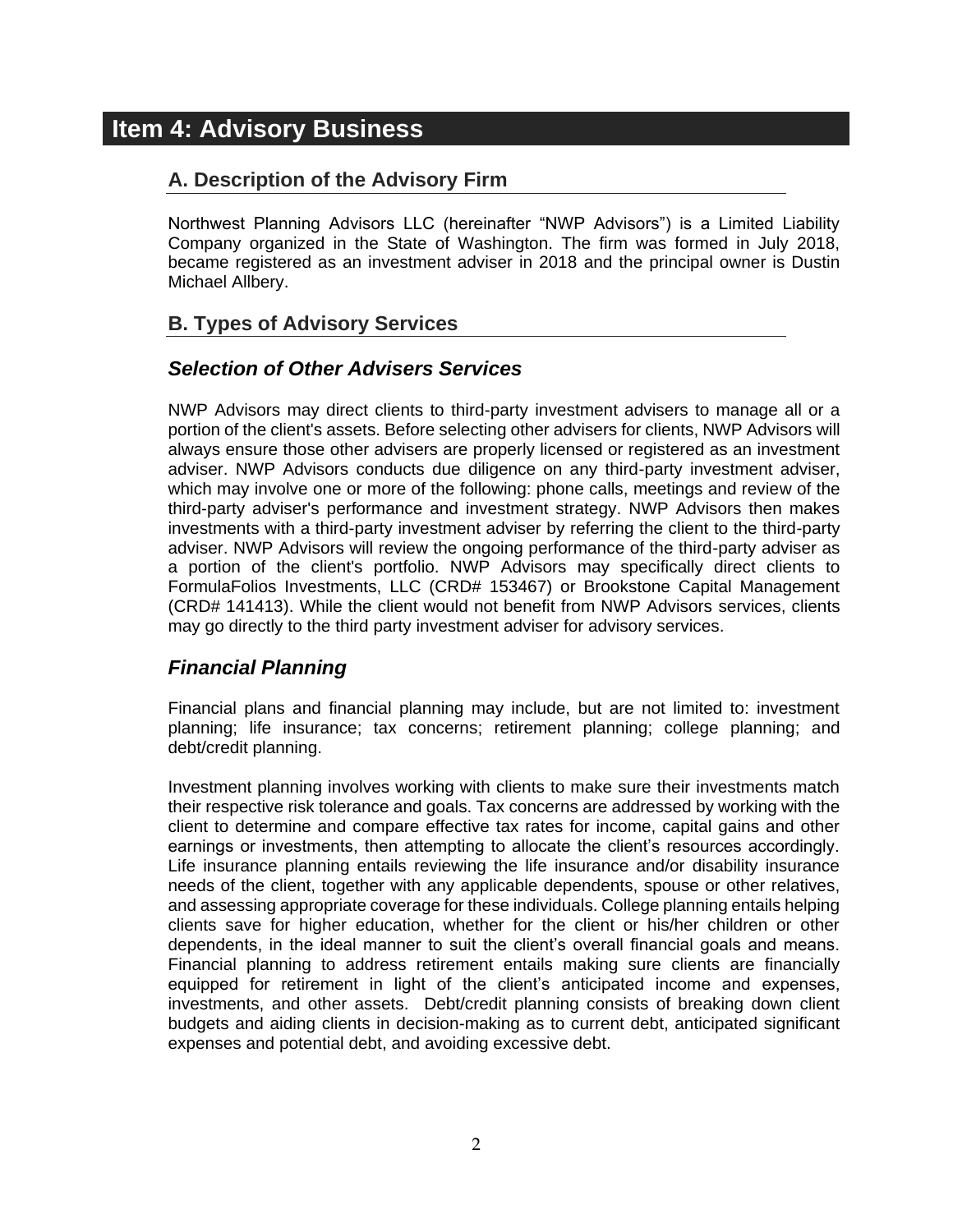## <span id="page-4-1"></span><span id="page-4-0"></span>**Item 4: Advisory Business**

#### **A. Description of the Advisory Firm**

Northwest Planning Advisors LLC (hereinafter "NWP Advisors") is a Limited Liability Company organized in the State of Washington. The firm was formed in July 2018, became registered as an investment adviser in 2018 and the principal owner is Dustin Michael Allbery.

#### <span id="page-4-2"></span>**B. Types of Advisory Services**

#### *Selection of Other Advisers Services*

NWP Advisors may direct clients to third-party investment advisers to manage all or a portion of the client's assets. Before selecting other advisers for clients, NWP Advisors will always ensure those other advisers are properly licensed or registered as an investment adviser. NWP Advisors conducts due diligence on any third-party investment adviser, which may involve one or more of the following: phone calls, meetings and review of the third-party adviser's performance and investment strategy. NWP Advisors then makes investments with a third-party investment adviser by referring the client to the third-party adviser. NWP Advisors will review the ongoing performance of the third-party adviser as a portion of the client's portfolio. NWP Advisors may specifically direct clients to FormulaFolios Investments, LLC (CRD# 153467) or Brookstone Capital Management (CRD# 141413). While the client would not benefit from NWP Advisors services, clients may go directly to the third party investment adviser for advisory services.

#### *Financial Planning*

Financial plans and financial planning may include, but are not limited to: investment planning; life insurance; tax concerns; retirement planning; college planning; and debt/credit planning.

Investment planning involves working with clients to make sure their investments match their respective risk tolerance and goals. Tax concerns are addressed by working with the client to determine and compare effective tax rates for income, capital gains and other earnings or investments, then attempting to allocate the client's resources accordingly. Life insurance planning entails reviewing the life insurance and/or disability insurance needs of the client, together with any applicable dependents, spouse or other relatives, and assessing appropriate coverage for these individuals. College planning entails helping clients save for higher education, whether for the client or his/her children or other dependents, in the ideal manner to suit the client's overall financial goals and means. Financial planning to address retirement entails making sure clients are financially equipped for retirement in light of the client's anticipated income and expenses, investments, and other assets. Debt/credit planning consists of breaking down client budgets and aiding clients in decision-making as to current debt, anticipated significant expenses and potential debt, and avoiding excessive debt.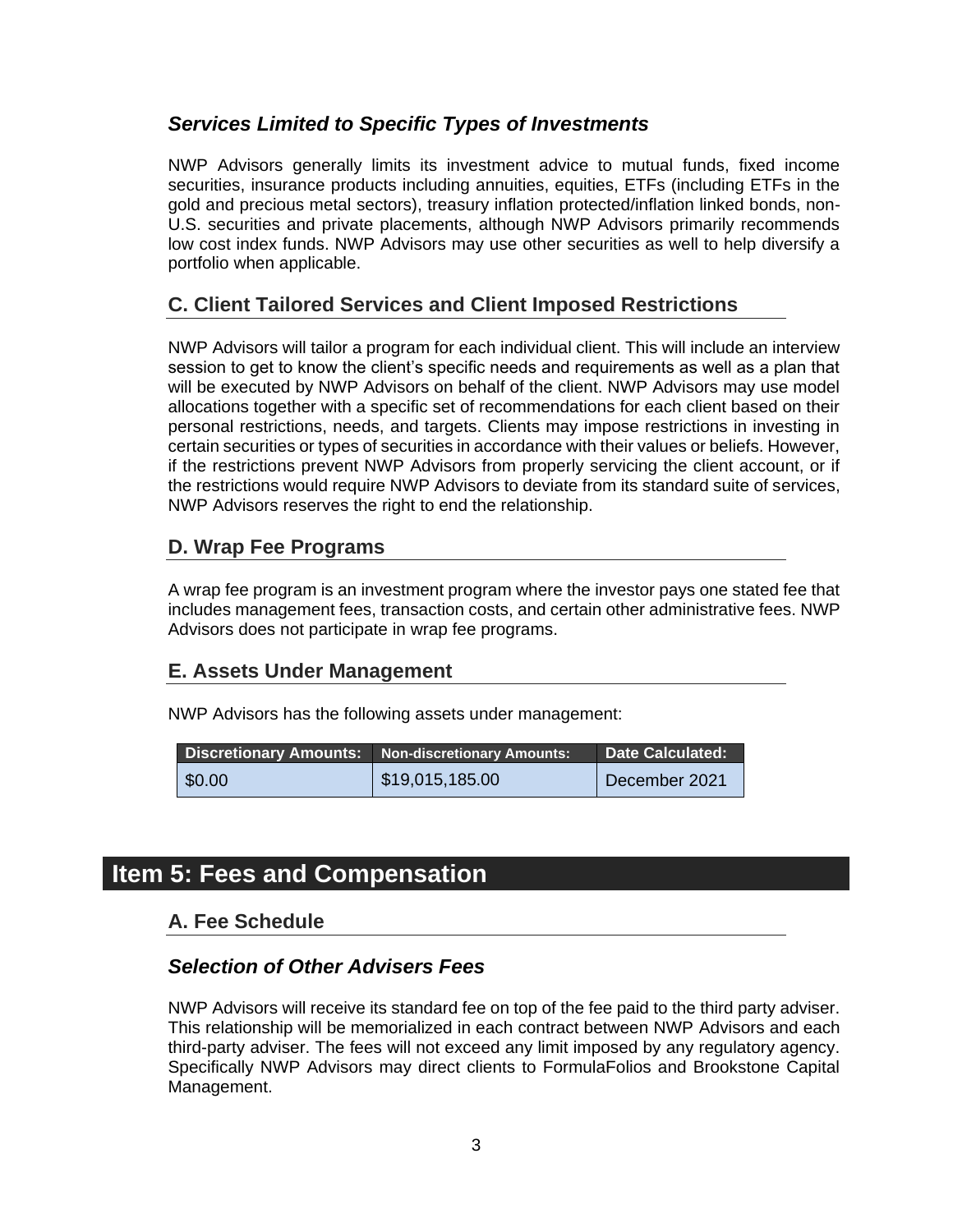#### *Services Limited to Specific Types of Investments*

NWP Advisors generally limits its investment advice to mutual funds, fixed income securities, insurance products including annuities, equities, ETFs (including ETFs in the gold and precious metal sectors), treasury inflation protected/inflation linked bonds, non-U.S. securities and private placements, although NWP Advisors primarily recommends low cost index funds. NWP Advisors may use other securities as well to help diversify a portfolio when applicable.

#### <span id="page-5-0"></span>**C. Client Tailored Services and Client Imposed Restrictions**

NWP Advisors will tailor a program for each individual client. This will include an interview session to get to know the client's specific needs and requirements as well as a plan that will be executed by NWP Advisors on behalf of the client. NWP Advisors may use model allocations together with a specific set of recommendations for each client based on their personal restrictions, needs, and targets. Clients may impose restrictions in investing in certain securities or types of securities in accordance with their values or beliefs. However, if the restrictions prevent NWP Advisors from properly servicing the client account, or if the restrictions would require NWP Advisors to deviate from its standard suite of services, NWP Advisors reserves the right to end the relationship.

#### <span id="page-5-1"></span>**D. Wrap Fee Programs**

A wrap fee program is an investment program where the investor pays one stated fee that includes management fees, transaction costs, and certain other administrative fees. NWP Advisors does not participate in wrap fee programs.

#### <span id="page-5-2"></span>**E. Assets Under Management**

NWP Advisors has the following assets under management:

|                | <b>Discretionary Amounts:</b> Non-discretionary Amounts: | <b>Date Calculated:</b> |
|----------------|----------------------------------------------------------|-------------------------|
| $\vert$ \$0.00 | $\vert$ \$19,015,185.00                                  | December 2021           |

## <span id="page-5-4"></span><span id="page-5-3"></span>**Item 5: Fees and Compensation**

#### **A. Fee Schedule**

#### *Selection of Other Advisers Fees*

NWP Advisors will receive its standard fee on top of the fee paid to the third party adviser. This relationship will be memorialized in each contract between NWP Advisors and each third-party adviser. The fees will not exceed any limit imposed by any regulatory agency. Specifically NWP Advisors may direct clients to FormulaFolios and Brookstone Capital Management.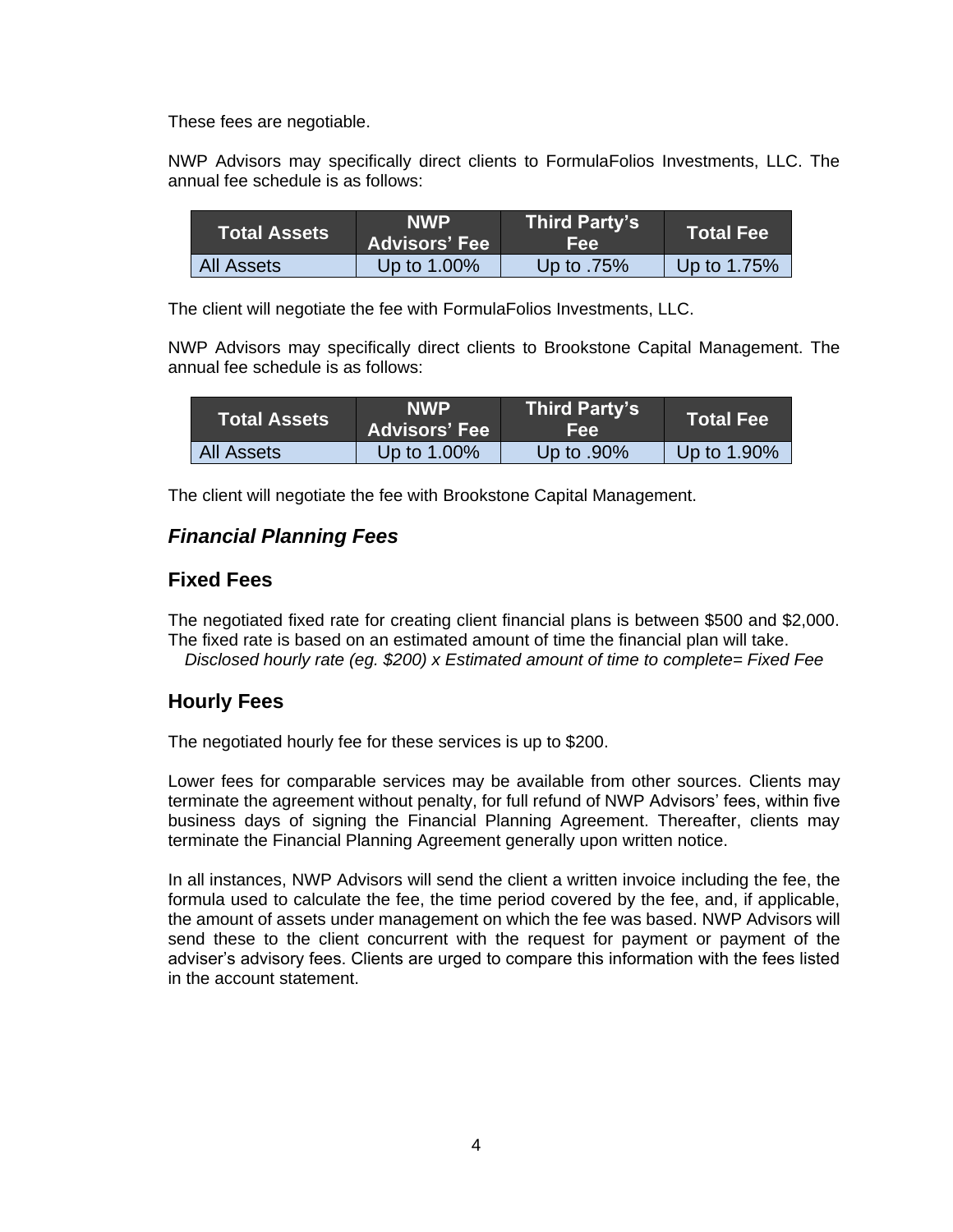These fees are negotiable.

NWP Advisors may specifically direct clients to FormulaFolios Investments, LLC. The annual fee schedule is as follows:

| Total Assets      | <b>NWP</b><br><b>Advisors' Fee</b> | <b>Third Party's</b><br>Fee: | <b>Total Fee</b> |
|-------------------|------------------------------------|------------------------------|------------------|
| <b>All Assets</b> | Up to 1.00%                        | Up to .75%                   | Up to 1.75%      |

The client will negotiate the fee with FormulaFolios Investments, LLC.

NWP Advisors may specifically direct clients to Brookstone Capital Management. The annual fee schedule is as follows:

| <b>Total Assets</b> | <b>NWP</b><br><b>Advisors' Fee</b> | <b>Third Party's</b><br>Fee: | <b>Total Fee</b> |
|---------------------|------------------------------------|------------------------------|------------------|
| All Assets          | Up to 1.00%                        | Up to $.90\%$                | Up to 1.90%      |

The client will negotiate the fee with Brookstone Capital Management.

#### *Financial Planning Fees*

#### **Fixed Fees**

The negotiated fixed rate for creating client financial plans is between \$500 and \$2,000. The fixed rate is based on an estimated amount of time the financial plan will take. *Disclosed hourly rate (eg. \$200) x Estimated amount of time to complete= Fixed Fee*

#### **Hourly Fees**

The negotiated hourly fee for these services is up to \$200.

Lower fees for comparable services may be available from other sources. Clients may terminate the agreement without penalty, for full refund of NWP Advisors' fees, within five business days of signing the Financial Planning Agreement. Thereafter, clients may terminate the Financial Planning Agreement generally upon written notice.

In all instances, NWP Advisors will send the client a written invoice including the fee, the formula used to calculate the fee, the time period covered by the fee, and, if applicable, the amount of assets under management on which the fee was based. NWP Advisors will send these to the client concurrent with the request for payment or payment of the adviser's advisory fees. Clients are urged to compare this information with the fees listed in the account statement.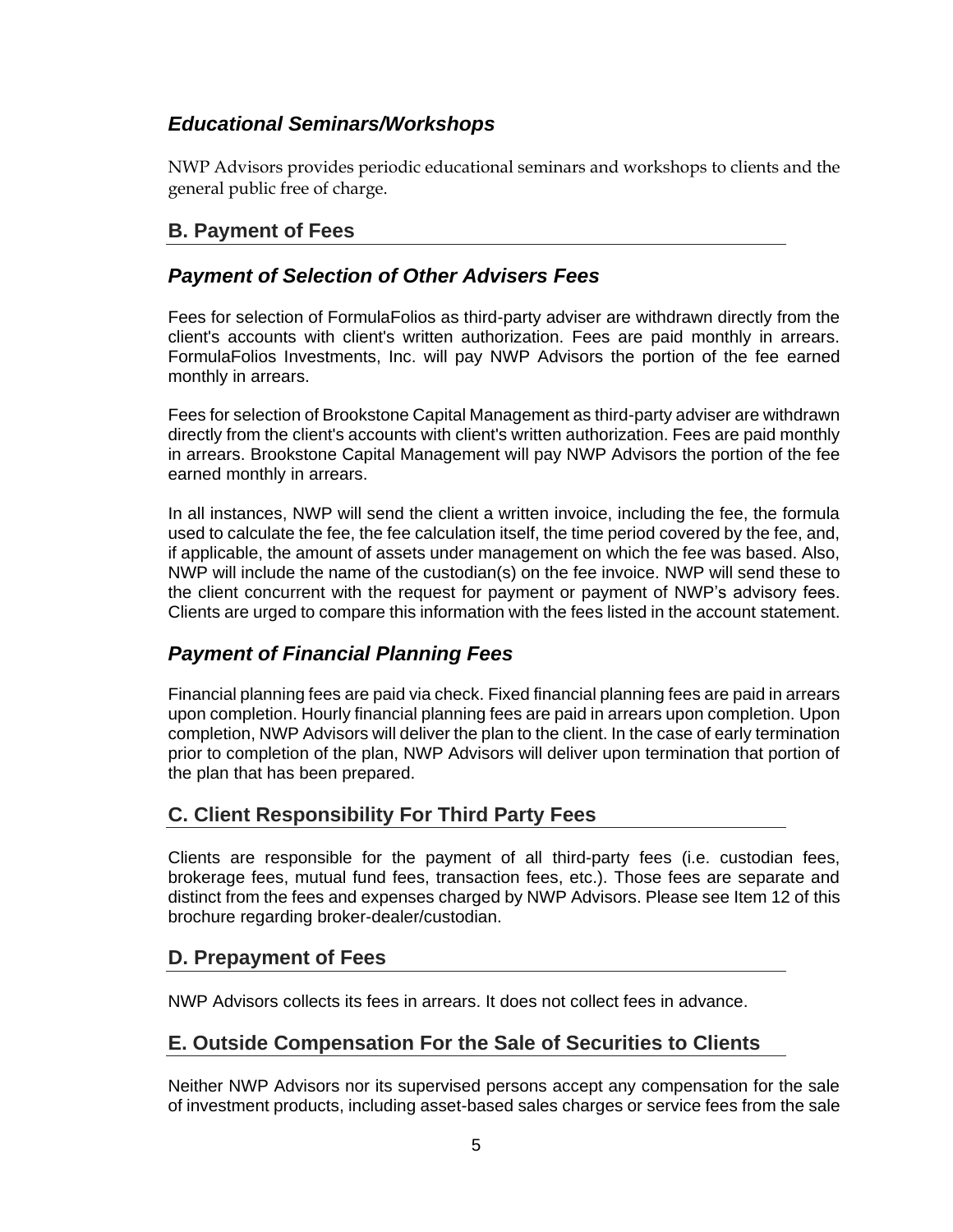#### *Educational Seminars/Workshops*

NWP Advisors provides periodic educational seminars and workshops to clients and the general public free of charge.

#### <span id="page-7-0"></span>**B. Payment of Fees**

#### *Payment of Selection of Other Advisers Fees*

Fees for selection of FormulaFolios as third-party adviser are withdrawn directly from the client's accounts with client's written authorization. Fees are paid monthly in arrears. FormulaFolios Investments, Inc. will pay NWP Advisors the portion of the fee earned monthly in arrears.

Fees for selection of Brookstone Capital Management as third-party adviser are withdrawn directly from the client's accounts with client's written authorization. Fees are paid monthly in arrears. Brookstone Capital Management will pay NWP Advisors the portion of the fee earned monthly in arrears.

In all instances, NWP will send the client a written invoice, including the fee, the formula used to calculate the fee, the fee calculation itself, the time period covered by the fee, and, if applicable, the amount of assets under management on which the fee was based. Also, NWP will include the name of the custodian(s) on the fee invoice. NWP will send these to the client concurrent with the request for payment or payment of NWP's advisory fees. Clients are urged to compare this information with the fees listed in the account statement.

#### *Payment of Financial Planning Fees*

Financial planning fees are paid via check. Fixed financial planning fees are paid in arrears upon completion. Hourly financial planning fees are paid in arrears upon completion. Upon completion, NWP Advisors will deliver the plan to the client. In the case of early termination prior to completion of the plan, NWP Advisors will deliver upon termination that portion of the plan that has been prepared.

#### <span id="page-7-1"></span>**C. Client Responsibility For Third Party Fees**

Clients are responsible for the payment of all third-party fees (i.e. custodian fees, brokerage fees, mutual fund fees, transaction fees, etc.). Those fees are separate and distinct from the fees and expenses charged by NWP Advisors. Please see Item 12 of this brochure regarding broker-dealer/custodian.

#### <span id="page-7-2"></span>**D. Prepayment of Fees**

NWP Advisors collects its fees in arrears. It does not collect fees in advance.

#### <span id="page-7-3"></span>**E. Outside Compensation For the Sale of Securities to Clients**

Neither NWP Advisors nor its supervised persons accept any compensation for the sale of investment products, including asset-based sales charges or service fees from the sale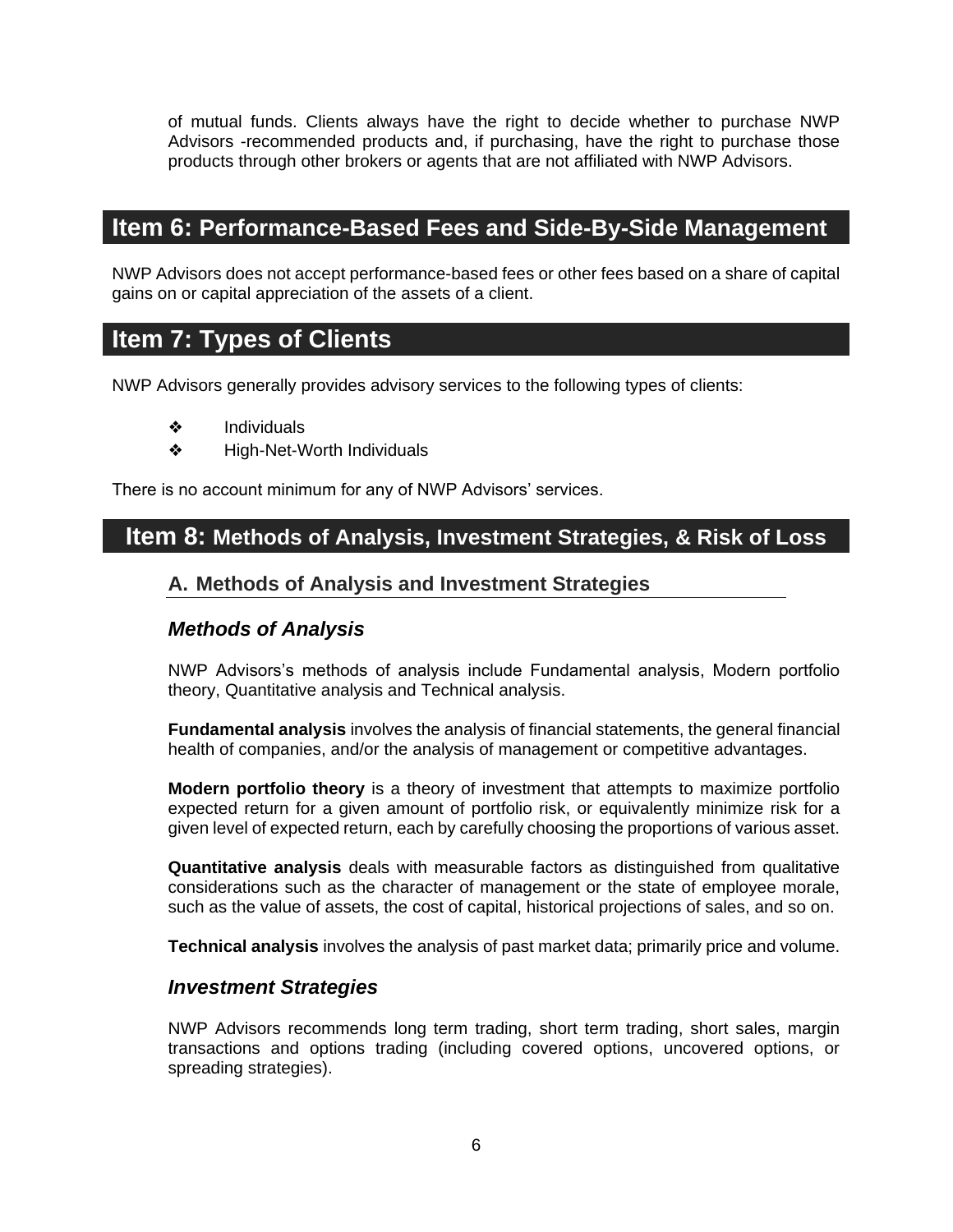of mutual funds. Clients always have the right to decide whether to purchase NWP Advisors -recommended products and, if purchasing, have the right to purchase those products through other brokers or agents that are not affiliated with NWP Advisors.

#### <span id="page-8-0"></span>**Item 6: Performance-Based Fees and Side-By-Side Management**

NWP Advisors does not accept performance-based fees or other fees based on a share of capital gains on or capital appreciation of the assets of a client.

### <span id="page-8-1"></span>**Item 7: Types of Clients**

NWP Advisors generally provides advisory services to the following types of clients:

- ❖ Individuals
- ❖ High-Net-Worth Individuals

There is no account minimum for any of NWP Advisors' services.

#### <span id="page-8-3"></span><span id="page-8-2"></span>**Item 8: Methods of Analysis, Investment Strategies, & Risk of Loss**

#### **A. Methods of Analysis and Investment Strategies**

#### *Methods of Analysis*

NWP Advisors's methods of analysis include Fundamental analysis, Modern portfolio theory, Quantitative analysis and Technical analysis.

**Fundamental analysis** involves the analysis of financial statements, the general financial health of companies, and/or the analysis of management or competitive advantages.

**Modern portfolio theory** is a theory of investment that attempts to maximize portfolio expected return for a given amount of portfolio risk, or equivalently minimize risk for a given level of expected return, each by carefully choosing the proportions of various asset.

**Quantitative analysis** deals with measurable factors as distinguished from qualitative considerations such as the character of management or the state of employee morale, such as the value of assets, the cost of capital, historical projections of sales, and so on.

**Technical analysis** involves the analysis of past market data; primarily price and volume.

#### *Investment Strategies*

NWP Advisors recommends long term trading, short term trading, short sales, margin transactions and options trading (including covered options, uncovered options, or spreading strategies).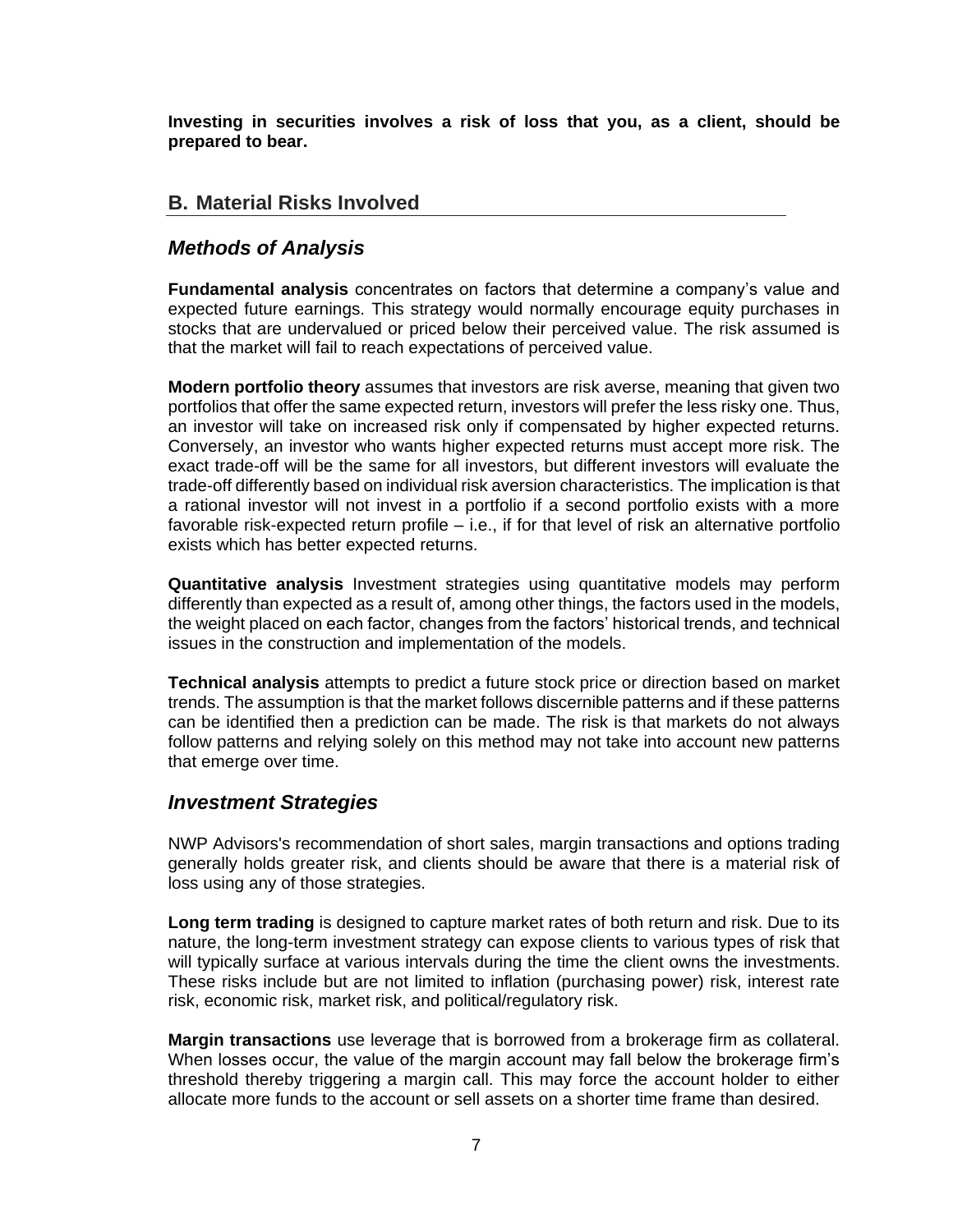**Investing in securities involves a risk of loss that you, as a client, should be prepared to bear.**

#### <span id="page-9-0"></span>**B. Material Risks Involved**

#### *Methods of Analysis*

**Fundamental analysis** concentrates on factors that determine a company's value and expected future earnings. This strategy would normally encourage equity purchases in stocks that are undervalued or priced below their perceived value. The risk assumed is that the market will fail to reach expectations of perceived value.

**Modern portfolio theory** assumes that investors are risk averse, meaning that given two portfolios that offer the same expected return, investors will prefer the less risky one. Thus, an investor will take on increased risk only if compensated by higher expected returns. Conversely, an investor who wants higher expected returns must accept more risk. The exact trade-off will be the same for all investors, but different investors will evaluate the trade-off differently based on individual risk aversion characteristics. The implication is that a rational investor will not invest in a portfolio if a second portfolio exists with a more favorable risk-expected return profile – i.e., if for that level of risk an alternative portfolio exists which has better expected returns.

**Quantitative analysis** Investment strategies using quantitative models may perform differently than expected as a result of, among other things, the factors used in the models, the weight placed on each factor, changes from the factors' historical trends, and technical issues in the construction and implementation of the models.

**Technical analysis** attempts to predict a future stock price or direction based on market trends. The assumption is that the market follows discernible patterns and if these patterns can be identified then a prediction can be made. The risk is that markets do not always follow patterns and relying solely on this method may not take into account new patterns that emerge over time.

#### *Investment Strategies*

NWP Advisors's recommendation of short sales, margin transactions and options trading generally holds greater risk, and clients should be aware that there is a material risk of loss using any of those strategies.

**Long term trading** is designed to capture market rates of both return and risk. Due to its nature, the long-term investment strategy can expose clients to various types of risk that will typically surface at various intervals during the time the client owns the investments. These risks include but are not limited to inflation (purchasing power) risk, interest rate risk, economic risk, market risk, and political/regulatory risk.

**Margin transactions** use leverage that is borrowed from a brokerage firm as collateral. When losses occur, the value of the margin account may fall below the brokerage firm's threshold thereby triggering a margin call. This may force the account holder to either allocate more funds to the account or sell assets on a shorter time frame than desired.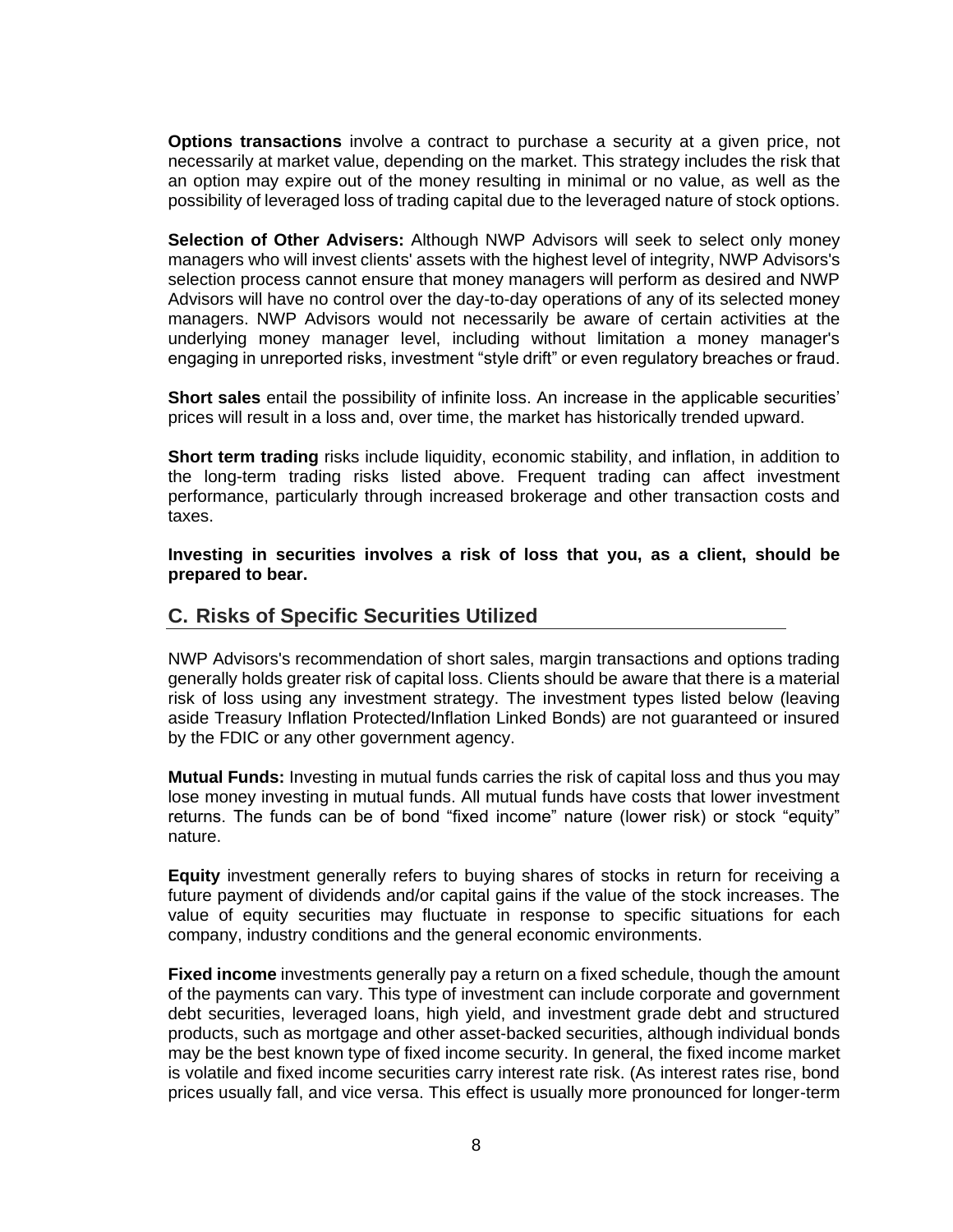**Options transactions** involve a contract to purchase a security at a given price, not necessarily at market value, depending on the market. This strategy includes the risk that an option may expire out of the money resulting in minimal or no value, as well as the possibility of leveraged loss of trading capital due to the leveraged nature of stock options.

**Selection of Other Advisers:** Although NWP Advisors will seek to select only money managers who will invest clients' assets with the highest level of integrity, NWP Advisors's selection process cannot ensure that money managers will perform as desired and NWP Advisors will have no control over the day-to-day operations of any of its selected money managers. NWP Advisors would not necessarily be aware of certain activities at the underlying money manager level, including without limitation a money manager's engaging in unreported risks, investment "style drift" or even regulatory breaches or fraud.

**Short sales** entail the possibility of infinite loss. An increase in the applicable securities' prices will result in a loss and, over time, the market has historically trended upward.

**Short term trading** risks include liquidity, economic stability, and inflation, in addition to the long-term trading risks listed above. Frequent trading can affect investment performance, particularly through increased brokerage and other transaction costs and taxes.

**Investing in securities involves a risk of loss that you, as a client, should be prepared to bear.**

#### <span id="page-10-0"></span>**C. Risks of Specific Securities Utilized**

NWP Advisors's recommendation of short sales, margin transactions and options trading generally holds greater risk of capital loss. Clients should be aware that there is a material risk of loss using any investment strategy. The investment types listed below (leaving aside Treasury Inflation Protected/Inflation Linked Bonds) are not guaranteed or insured by the FDIC or any other government agency.

**Mutual Funds:** Investing in mutual funds carries the risk of capital loss and thus you may lose money investing in mutual funds. All mutual funds have costs that lower investment returns. The funds can be of bond "fixed income" nature (lower risk) or stock "equity" nature.

**Equity** investment generally refers to buying shares of stocks in return for receiving a future payment of dividends and/or capital gains if the value of the stock increases. The value of equity securities may fluctuate in response to specific situations for each company, industry conditions and the general economic environments.

**Fixed income** investments generally pay a return on a fixed schedule, though the amount of the payments can vary. This type of investment can include corporate and government debt securities, leveraged loans, high yield, and investment grade debt and structured products, such as mortgage and other asset-backed securities, although individual bonds may be the best known type of fixed income security. In general, the fixed income market is volatile and fixed income securities carry interest rate risk. (As interest rates rise, bond prices usually fall, and vice versa. This effect is usually more pronounced for longer-term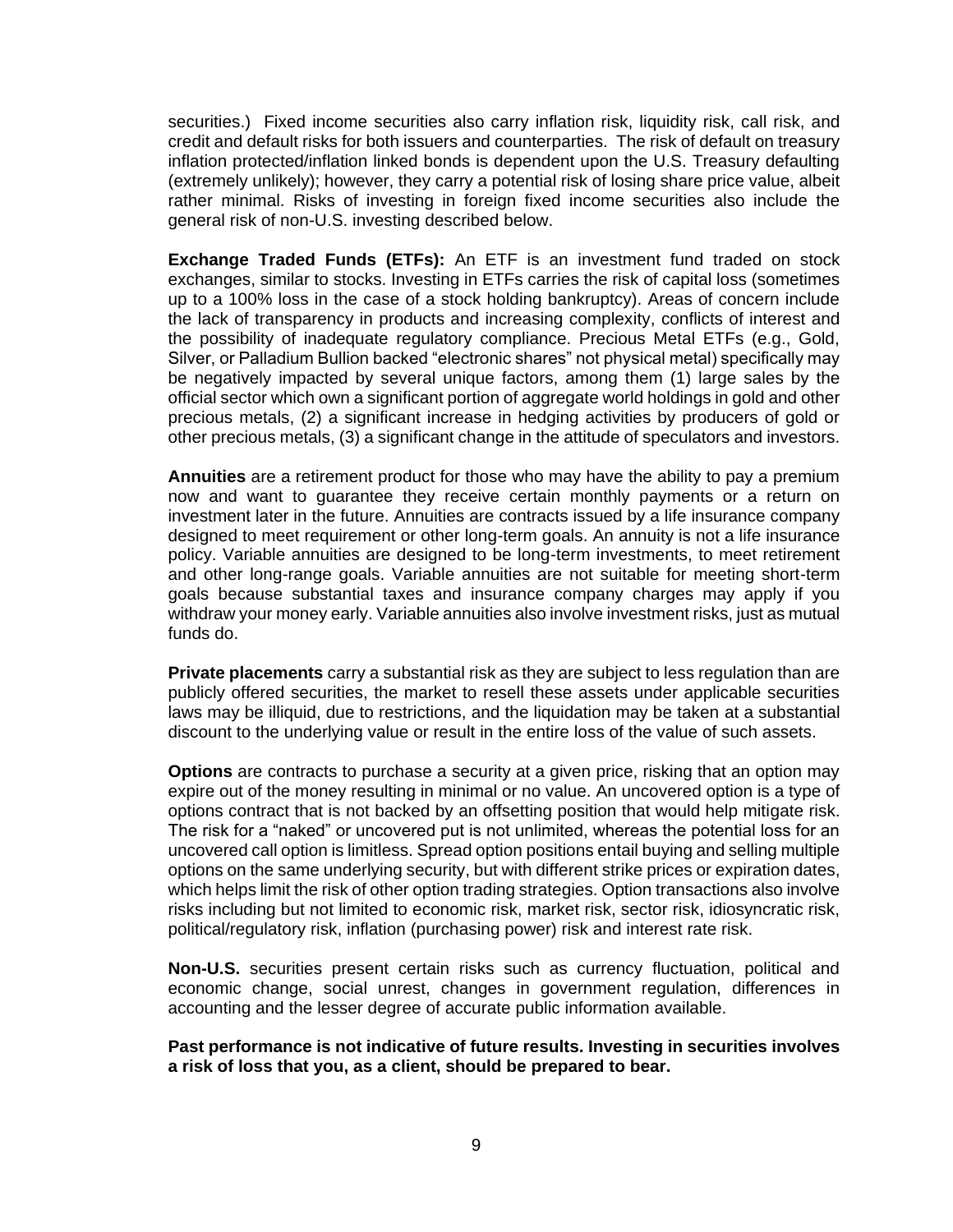securities.) Fixed income securities also carry inflation risk, liquidity risk, call risk, and credit and default risks for both issuers and counterparties. The risk of default on treasury inflation protected/inflation linked bonds is dependent upon the U.S. Treasury defaulting (extremely unlikely); however, they carry a potential risk of losing share price value, albeit rather minimal. Risks of investing in foreign fixed income securities also include the general risk of non-U.S. investing described below.

**Exchange Traded Funds (ETFs):** An ETF is an investment fund traded on stock exchanges, similar to stocks. Investing in ETFs carries the risk of capital loss (sometimes up to a 100% loss in the case of a stock holding bankruptcy). Areas of concern include the lack of transparency in products and increasing complexity, conflicts of interest and the possibility of inadequate regulatory compliance. Precious Metal ETFs (e.g., Gold, Silver, or Palladium Bullion backed "electronic shares" not physical metal) specifically may be negatively impacted by several unique factors, among them (1) large sales by the official sector which own a significant portion of aggregate world holdings in gold and other precious metals, (2) a significant increase in hedging activities by producers of gold or other precious metals, (3) a significant change in the attitude of speculators and investors.

**Annuities** are a retirement product for those who may have the ability to pay a premium now and want to guarantee they receive certain monthly payments or a return on investment later in the future. Annuities are contracts issued by a life insurance company designed to meet requirement or other long-term goals. An annuity is not a life insurance policy. Variable annuities are designed to be long-term investments, to meet retirement and other long-range goals. Variable annuities are not suitable for meeting short-term goals because substantial taxes and insurance company charges may apply if you withdraw your money early. Variable annuities also involve investment risks, just as mutual funds do.

**Private placements** carry a substantial risk as they are subject to less regulation than are publicly offered securities, the market to resell these assets under applicable securities laws may be illiquid, due to restrictions, and the liquidation may be taken at a substantial discount to the underlying value or result in the entire loss of the value of such assets.

**Options** are contracts to purchase a security at a given price, risking that an option may expire out of the money resulting in minimal or no value. An uncovered option is a type of options contract that is not backed by an offsetting position that would help mitigate risk. The risk for a "naked" or uncovered put is not unlimited, whereas the potential loss for an uncovered call option is limitless. Spread option positions entail buying and selling multiple options on the same underlying security, but with different strike prices or expiration dates, which helps limit the risk of other option trading strategies. Option transactions also involve risks including but not limited to economic risk, market risk, sector risk, idiosyncratic risk, political/regulatory risk, inflation (purchasing power) risk and interest rate risk.

**Non-U.S.** securities present certain risks such as currency fluctuation, political and economic change, social unrest, changes in government regulation, differences in accounting and the lesser degree of accurate public information available.

**Past performance is not indicative of future results. Investing in securities involves a risk of loss that you, as a client, should be prepared to bear.**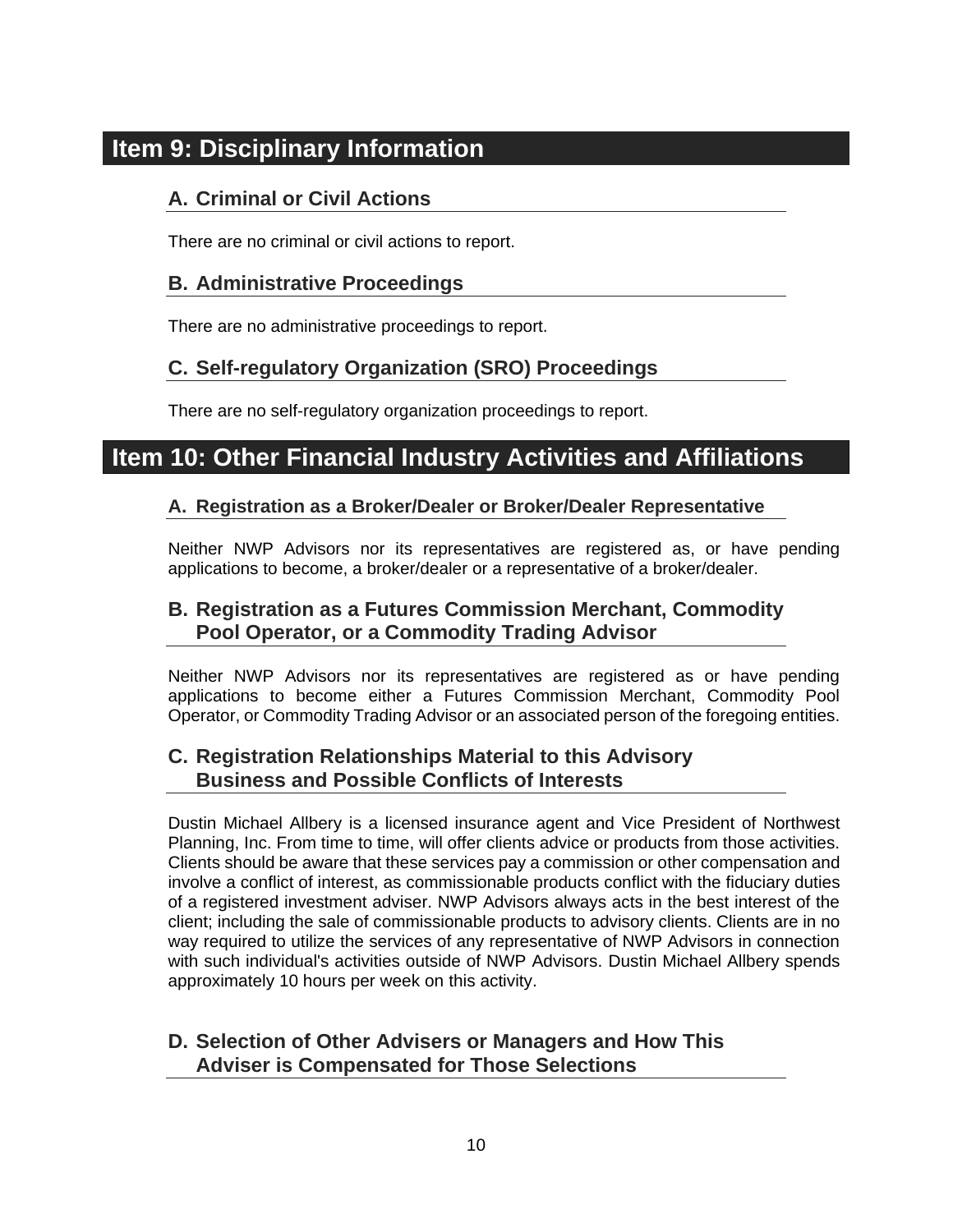## <span id="page-12-1"></span><span id="page-12-0"></span>**Item 9: Disciplinary Information**

#### **A. Criminal or Civil Actions**

There are no criminal or civil actions to report.

#### <span id="page-12-2"></span>**B. Administrative Proceedings**

There are no administrative proceedings to report.

#### <span id="page-12-3"></span>**C. Self-regulatory Organization (SRO) Proceedings**

There are no self-regulatory organization proceedings to report.

## <span id="page-12-5"></span><span id="page-12-4"></span>**Item 10: Other Financial Industry Activities and Affiliations**

#### **A. Registration as a Broker/Dealer or Broker/Dealer Representative**

Neither NWP Advisors nor its representatives are registered as, or have pending applications to become, a broker/dealer or a representative of a broker/dealer.

#### <span id="page-12-6"></span>**B. Registration as a Futures Commission Merchant, Commodity Pool Operator, or a Commodity Trading Advisor**

Neither NWP Advisors nor its representatives are registered as or have pending applications to become either a Futures Commission Merchant, Commodity Pool Operator, or Commodity Trading Advisor or an associated person of the foregoing entities.

#### <span id="page-12-7"></span>**C. Registration Relationships Material to this Advisory Business and Possible Conflicts of Interests**

Dustin Michael Allbery is a licensed insurance agent and Vice President of Northwest Planning, Inc. From time to time, will offer clients advice or products from those activities. Clients should be aware that these services pay a commission or other compensation and involve a conflict of interest, as commissionable products conflict with the fiduciary duties of a registered investment adviser. NWP Advisors always acts in the best interest of the client; including the sale of commissionable products to advisory clients. Clients are in no way required to utilize the services of any representative of NWP Advisors in connection with such individual's activities outside of NWP Advisors. Dustin Michael Allbery spends approximately 10 hours per week on this activity.

#### <span id="page-12-8"></span>**D. Selection of Other Advisers or Managers and How This Adviser is Compensated for Those Selections**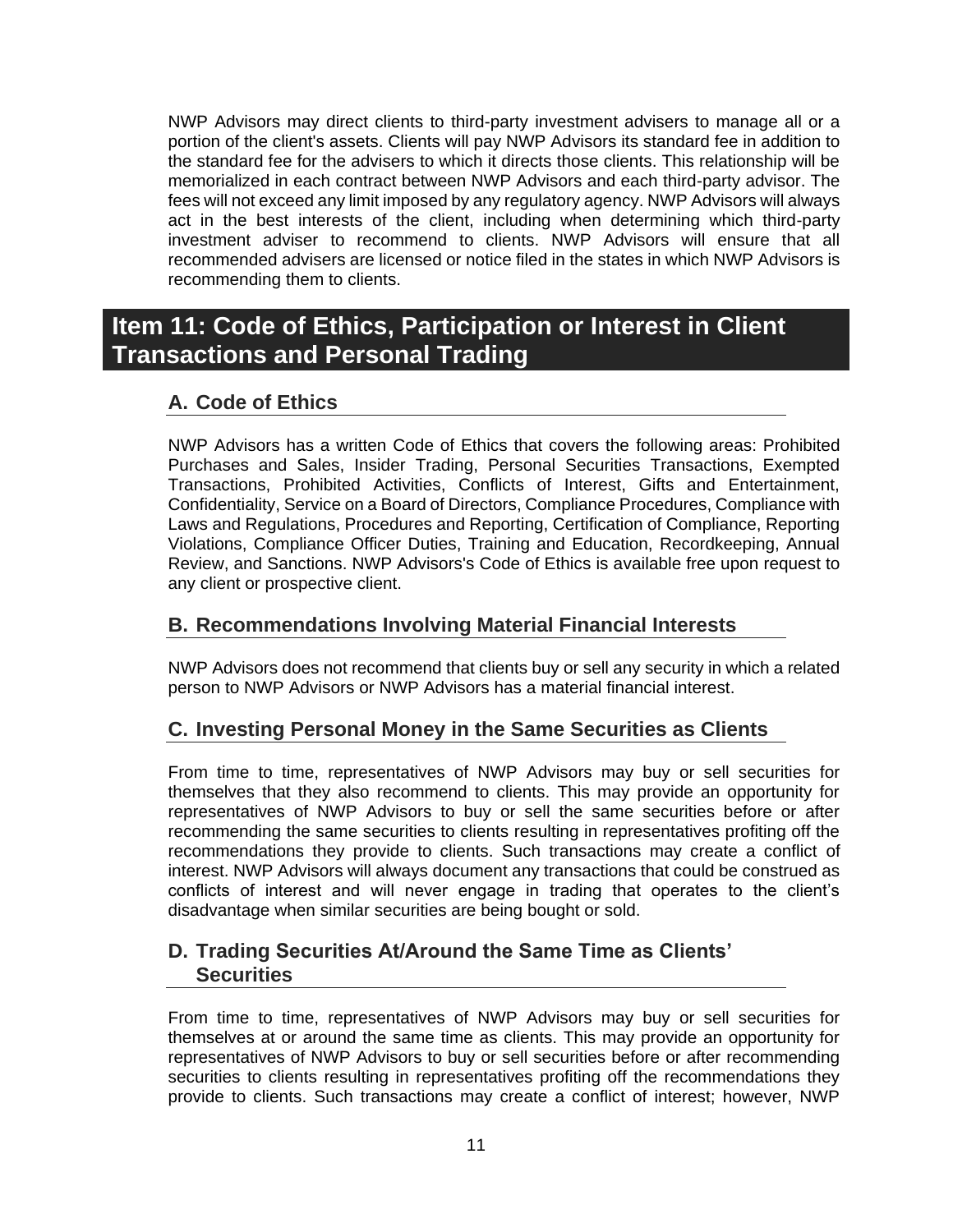NWP Advisors may direct clients to third-party investment advisers to manage all or a portion of the client's assets. Clients will pay NWP Advisors its standard fee in addition to the standard fee for the advisers to which it directs those clients. This relationship will be memorialized in each contract between NWP Advisors and each third-party advisor. The fees will not exceed any limit imposed by any regulatory agency. NWP Advisors will always act in the best interests of the client, including when determining which third-party investment adviser to recommend to clients. NWP Advisors will ensure that all recommended advisers are licensed or notice filed in the states in which NWP Advisors is recommending them to clients.

## <span id="page-13-0"></span>**Item 11: Code of Ethics, Participation or Interest in Client Transactions and Personal Trading**

#### <span id="page-13-1"></span>**A. Code of Ethics**

NWP Advisors has a written Code of Ethics that covers the following areas: Prohibited Purchases and Sales, Insider Trading, Personal Securities Transactions, Exempted Transactions, Prohibited Activities, Conflicts of Interest, Gifts and Entertainment, Confidentiality, Service on a Board of Directors, Compliance Procedures, Compliance with Laws and Regulations, Procedures and Reporting, Certification of Compliance, Reporting Violations, Compliance Officer Duties, Training and Education, Recordkeeping, Annual Review, and Sanctions. NWP Advisors's Code of Ethics is available free upon request to any client or prospective client.

#### <span id="page-13-2"></span>**B. Recommendations Involving Material Financial Interests**

NWP Advisors does not recommend that clients buy or sell any security in which a related person to NWP Advisors or NWP Advisors has a material financial interest.

#### <span id="page-13-3"></span>**C. Investing Personal Money in the Same Securities as Clients**

From time to time, representatives of NWP Advisors may buy or sell securities for themselves that they also recommend to clients. This may provide an opportunity for representatives of NWP Advisors to buy or sell the same securities before or after recommending the same securities to clients resulting in representatives profiting off the recommendations they provide to clients. Such transactions may create a conflict of interest. NWP Advisors will always document any transactions that could be construed as conflicts of interest and will never engage in trading that operates to the client's disadvantage when similar securities are being bought or sold.

#### <span id="page-13-4"></span>**D. Trading Securities At/Around the Same Time as Clients' Securities**

From time to time, representatives of NWP Advisors may buy or sell securities for themselves at or around the same time as clients. This may provide an opportunity for representatives of NWP Advisors to buy or sell securities before or after recommending securities to clients resulting in representatives profiting off the recommendations they provide to clients. Such transactions may create a conflict of interest; however, NWP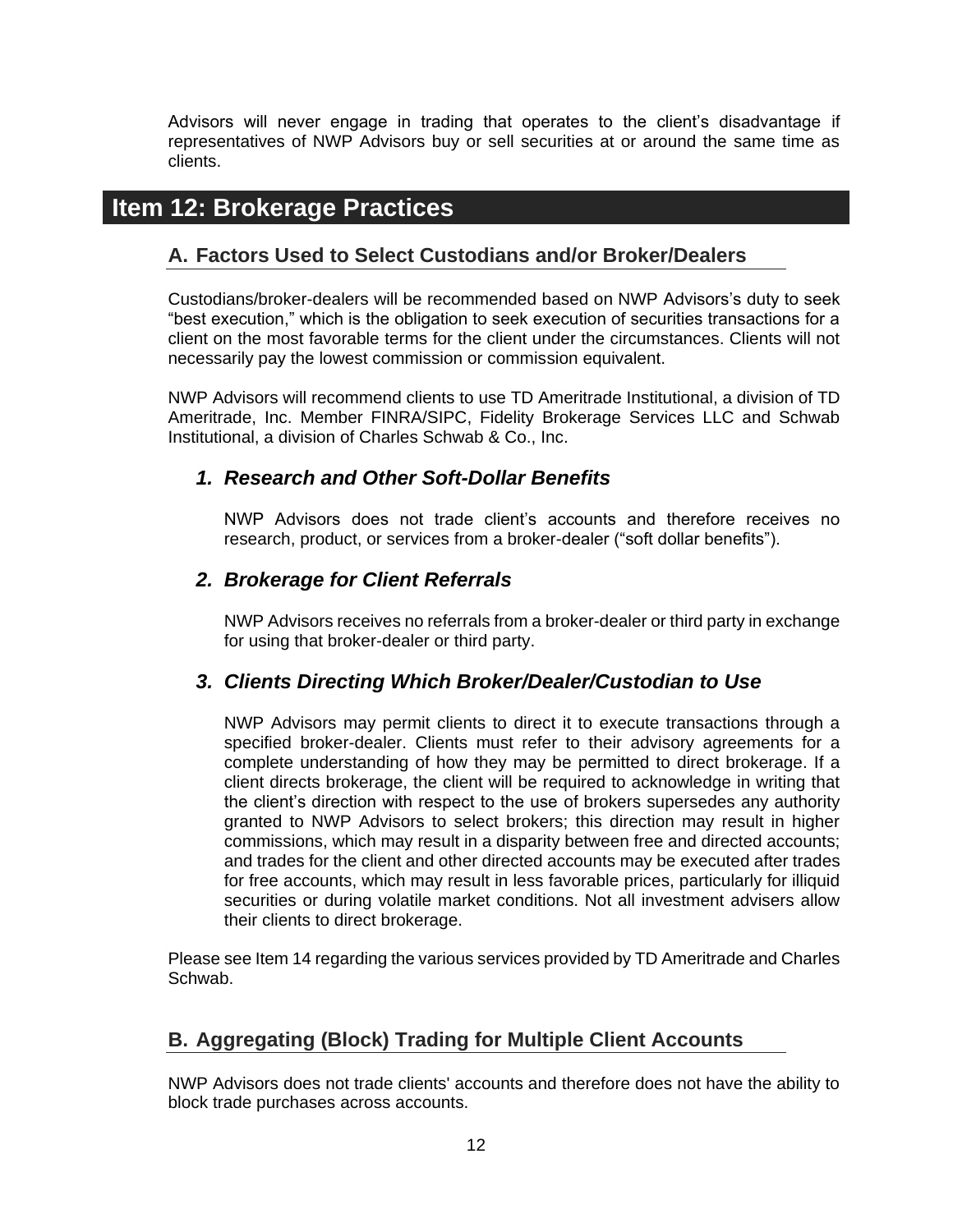Advisors will never engage in trading that operates to the client's disadvantage if representatives of NWP Advisors buy or sell securities at or around the same time as clients.

## <span id="page-14-1"></span><span id="page-14-0"></span>**Item 12: Brokerage Practices**

#### **A. Factors Used to Select Custodians and/or Broker/Dealers**

Custodians/broker-dealers will be recommended based on NWP Advisors's duty to seek "best execution," which is the obligation to seek execution of securities transactions for a client on the most favorable terms for the client under the circumstances. Clients will not necessarily pay the lowest commission or commission equivalent.

NWP Advisors will recommend clients to use TD Ameritrade Institutional, a division of TD Ameritrade, Inc. Member FINRA/SIPC, Fidelity Brokerage Services LLC and Schwab Institutional, a division of Charles Schwab & Co., Inc.

#### <span id="page-14-2"></span>*1. Research and Other Soft-Dollar Benefits*

NWP Advisors does not trade client's accounts and therefore receives no research, product, or services from a broker-dealer ("soft dollar benefits").

#### <span id="page-14-3"></span>*2. Brokerage for Client Referrals*

NWP Advisors receives no referrals from a broker-dealer or third party in exchange for using that broker-dealer or third party.

#### <span id="page-14-4"></span>*3. Clients Directing Which Broker/Dealer/Custodian to Use*

NWP Advisors may permit clients to direct it to execute transactions through a specified broker-dealer. Clients must refer to their advisory agreements for a complete understanding of how they may be permitted to direct brokerage. If a client directs brokerage, the client will be required to acknowledge in writing that the client's direction with respect to the use of brokers supersedes any authority granted to NWP Advisors to select brokers; this direction may result in higher commissions, which may result in a disparity between free and directed accounts; and trades for the client and other directed accounts may be executed after trades for free accounts, which may result in less favorable prices, particularly for illiquid securities or during volatile market conditions. Not all investment advisers allow their clients to direct brokerage.

Please see Item 14 regarding the various services provided by TD Ameritrade and Charles Schwab.

#### <span id="page-14-5"></span>**B. Aggregating (Block) Trading for Multiple Client Accounts**

NWP Advisors does not trade clients' accounts and therefore does not have the ability to block trade purchases across accounts.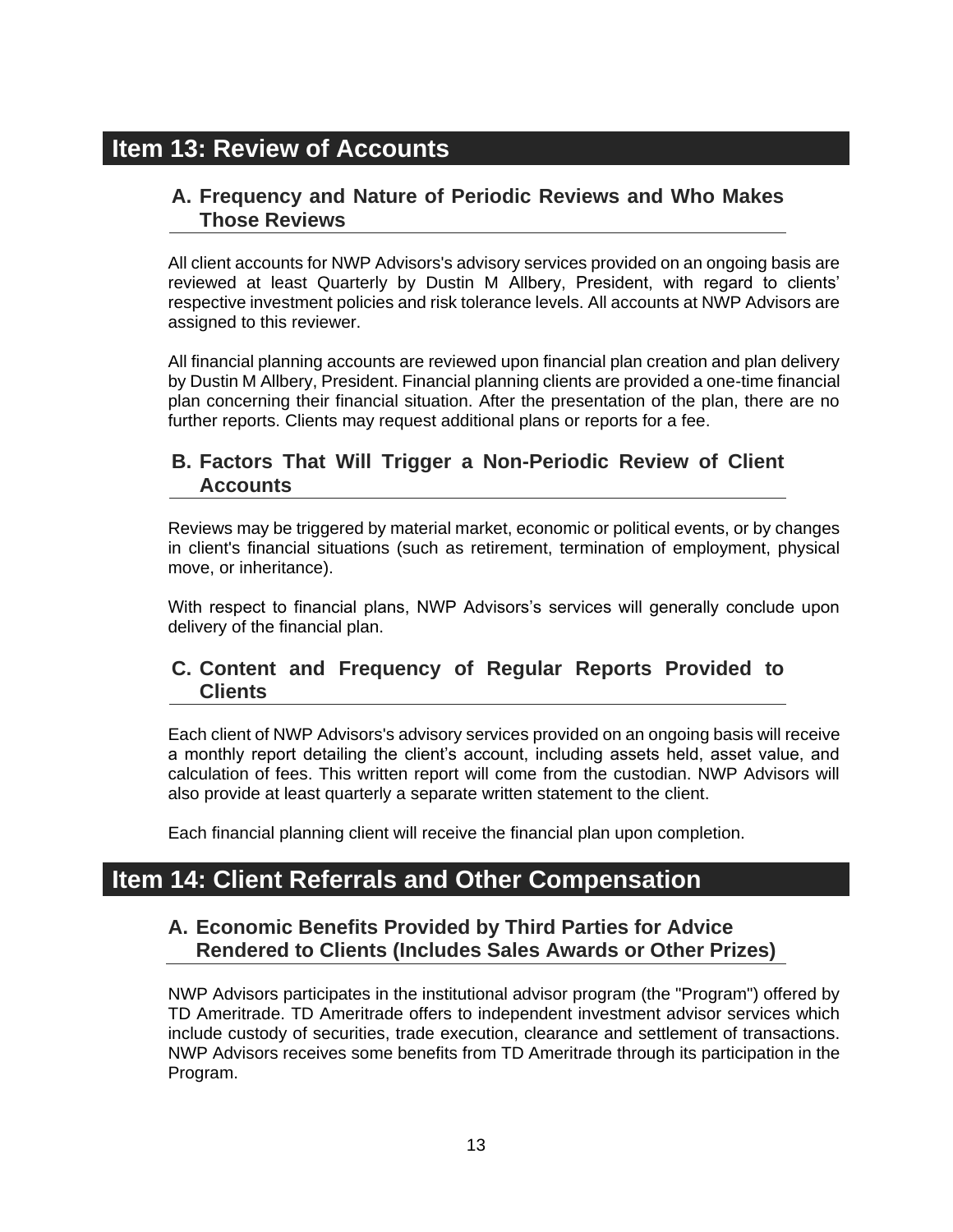## <span id="page-15-1"></span><span id="page-15-0"></span>**Item 13: Review of Accounts**

#### **A. Frequency and Nature of Periodic Reviews and Who Makes Those Reviews**

All client accounts for NWP Advisors's advisory services provided on an ongoing basis are reviewed at least Quarterly by Dustin M Allbery, President, with regard to clients' respective investment policies and risk tolerance levels. All accounts at NWP Advisors are assigned to this reviewer.

All financial planning accounts are reviewed upon financial plan creation and plan delivery by Dustin M Allbery, President. Financial planning clients are provided a one-time financial plan concerning their financial situation. After the presentation of the plan, there are no further reports. Clients may request additional plans or reports for a fee.

#### <span id="page-15-2"></span>**B. Factors That Will Trigger a Non-Periodic Review of Client Accounts**

Reviews may be triggered by material market, economic or political events, or by changes in client's financial situations (such as retirement, termination of employment, physical move, or inheritance).

With respect to financial plans, NWP Advisors's services will generally conclude upon delivery of the financial plan.

#### <span id="page-15-3"></span>**C. Content and Frequency of Regular Reports Provided to Clients**

Each client of NWP Advisors's advisory services provided on an ongoing basis will receive a monthly report detailing the client's account, including assets held, asset value, and calculation of fees. This written report will come from the custodian. NWP Advisors will also provide at least quarterly a separate written statement to the client.

Each financial planning client will receive the financial plan upon completion.

## <span id="page-15-5"></span><span id="page-15-4"></span>**Item 14: Client Referrals and Other Compensation**

#### **A. Economic Benefits Provided by Third Parties for Advice Rendered to Clients (Includes Sales Awards or Other Prizes)**

NWP Advisors participates in the institutional advisor program (the "Program") offered by TD Ameritrade. TD Ameritrade offers to independent investment advisor services which include custody of securities, trade execution, clearance and settlement of transactions. NWP Advisors receives some benefits from TD Ameritrade through its participation in the Program.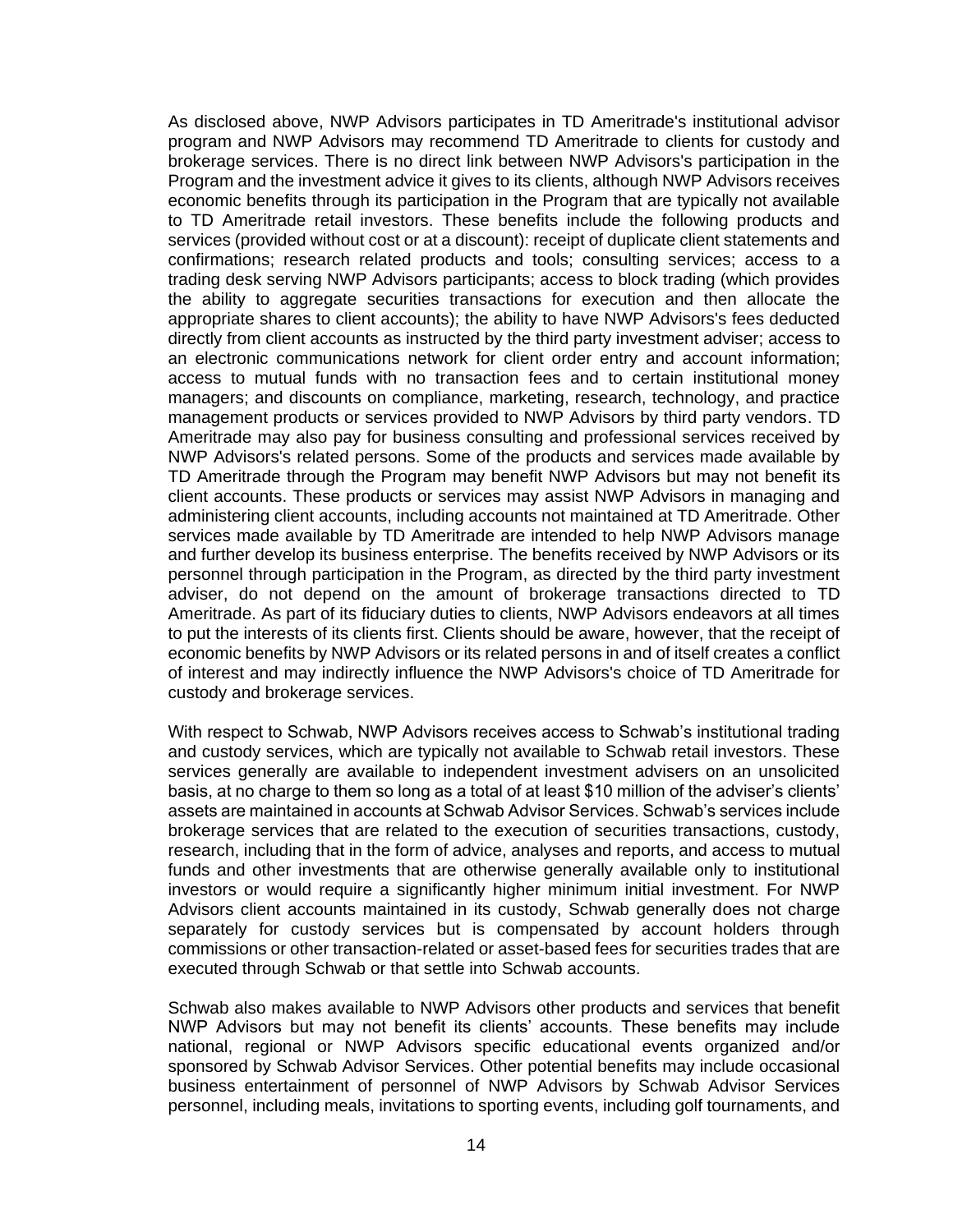As disclosed above, NWP Advisors participates in TD Ameritrade's institutional advisor program and NWP Advisors may recommend TD Ameritrade to clients for custody and brokerage services. There is no direct link between NWP Advisors's participation in the Program and the investment advice it gives to its clients, although NWP Advisors receives economic benefits through its participation in the Program that are typically not available to TD Ameritrade retail investors. These benefits include the following products and services (provided without cost or at a discount): receipt of duplicate client statements and confirmations; research related products and tools; consulting services; access to a trading desk serving NWP Advisors participants; access to block trading (which provides the ability to aggregate securities transactions for execution and then allocate the appropriate shares to client accounts); the ability to have NWP Advisors's fees deducted directly from client accounts as instructed by the third party investment adviser; access to an electronic communications network for client order entry and account information; access to mutual funds with no transaction fees and to certain institutional money managers; and discounts on compliance, marketing, research, technology, and practice management products or services provided to NWP Advisors by third party vendors. TD Ameritrade may also pay for business consulting and professional services received by NWP Advisors's related persons. Some of the products and services made available by TD Ameritrade through the Program may benefit NWP Advisors but may not benefit its client accounts. These products or services may assist NWP Advisors in managing and administering client accounts, including accounts not maintained at TD Ameritrade. Other services made available by TD Ameritrade are intended to help NWP Advisors manage and further develop its business enterprise. The benefits received by NWP Advisors or its personnel through participation in the Program, as directed by the third party investment adviser, do not depend on the amount of brokerage transactions directed to TD Ameritrade. As part of its fiduciary duties to clients, NWP Advisors endeavors at all times to put the interests of its clients first. Clients should be aware, however, that the receipt of economic benefits by NWP Advisors or its related persons in and of itself creates a conflict of interest and may indirectly influence the NWP Advisors's choice of TD Ameritrade for custody and brokerage services.

With respect to Schwab, NWP Advisors receives access to Schwab's institutional trading and custody services, which are typically not available to Schwab retail investors. These services generally are available to independent investment advisers on an unsolicited basis, at no charge to them so long as a total of at least \$10 million of the adviser's clients' assets are maintained in accounts at Schwab Advisor Services. Schwab's services include brokerage services that are related to the execution of securities transactions, custody, research, including that in the form of advice, analyses and reports, and access to mutual funds and other investments that are otherwise generally available only to institutional investors or would require a significantly higher minimum initial investment. For NWP Advisors client accounts maintained in its custody, Schwab generally does not charge separately for custody services but is compensated by account holders through commissions or other transaction-related or asset-based fees for securities trades that are executed through Schwab or that settle into Schwab accounts.

Schwab also makes available to NWP Advisors other products and services that benefit NWP Advisors but may not benefit its clients' accounts. These benefits may include national, regional or NWP Advisors specific educational events organized and/or sponsored by Schwab Advisor Services. Other potential benefits may include occasional business entertainment of personnel of NWP Advisors by Schwab Advisor Services personnel, including meals, invitations to sporting events, including golf tournaments, and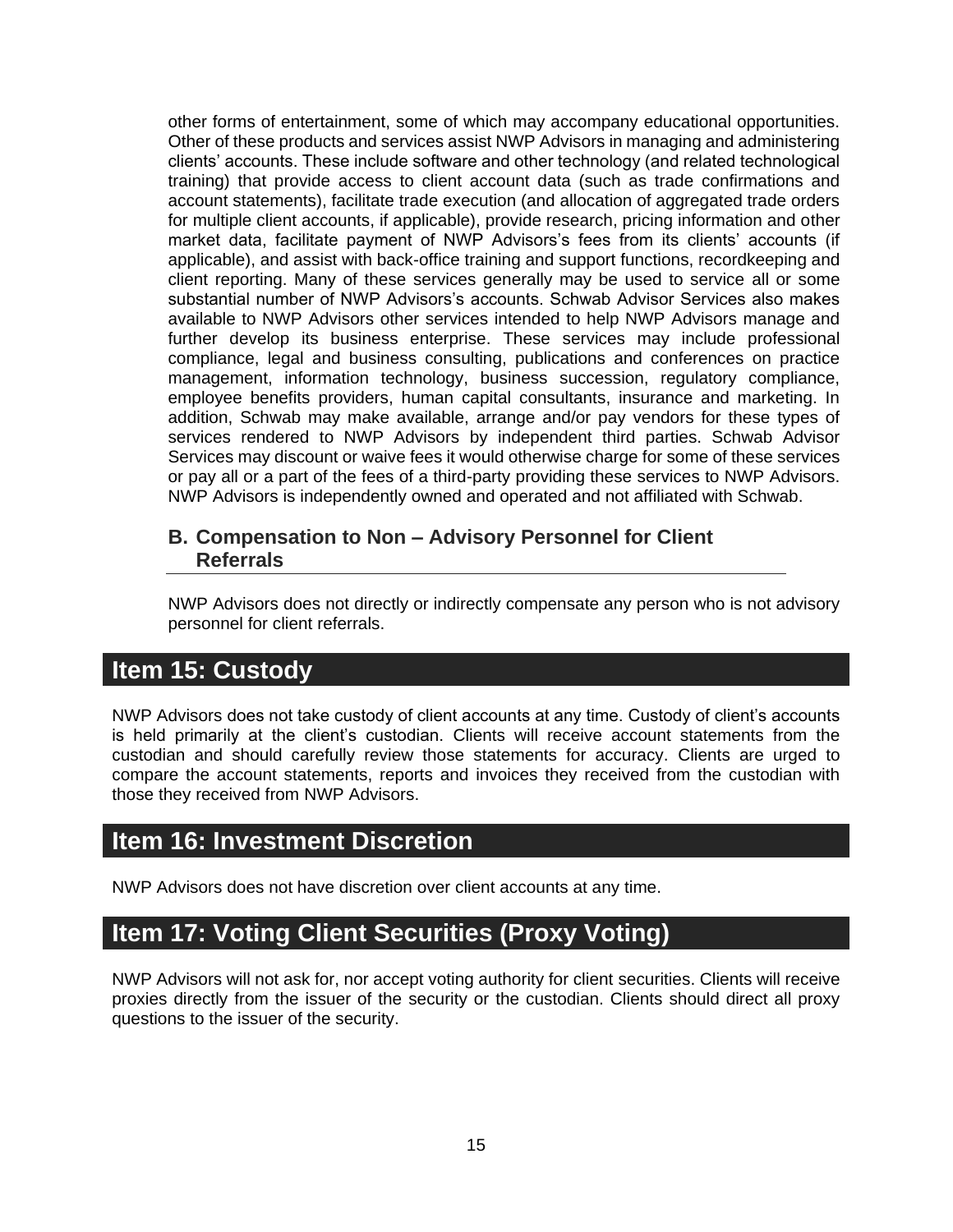other forms of entertainment, some of which may accompany educational opportunities. Other of these products and services assist NWP Advisors in managing and administering clients' accounts. These include software and other technology (and related technological training) that provide access to client account data (such as trade confirmations and account statements), facilitate trade execution (and allocation of aggregated trade orders for multiple client accounts, if applicable), provide research, pricing information and other market data, facilitate payment of NWP Advisors's fees from its clients' accounts (if applicable), and assist with back-office training and support functions, recordkeeping and client reporting. Many of these services generally may be used to service all or some substantial number of NWP Advisors's accounts. Schwab Advisor Services also makes available to NWP Advisors other services intended to help NWP Advisors manage and further develop its business enterprise. These services may include professional compliance, legal and business consulting, publications and conferences on practice management, information technology, business succession, regulatory compliance, employee benefits providers, human capital consultants, insurance and marketing. In addition, Schwab may make available, arrange and/or pay vendors for these types of services rendered to NWP Advisors by independent third parties. Schwab Advisor Services may discount or waive fees it would otherwise charge for some of these services or pay all or a part of the fees of a third-party providing these services to NWP Advisors. NWP Advisors is independently owned and operated and not affiliated with Schwab.

#### <span id="page-17-0"></span>**B. Compensation to Non – Advisory Personnel for Client Referrals**

NWP Advisors does not directly or indirectly compensate any person who is not advisory personnel for client referrals.

## <span id="page-17-1"></span>**Item 15: Custody**

NWP Advisors does not take custody of client accounts at any time. Custody of client's accounts is held primarily at the client's custodian. Clients will receive account statements from the custodian and should carefully review those statements for accuracy. Clients are urged to compare the account statements, reports and invoices they received from the custodian with those they received from NWP Advisors.

## <span id="page-17-2"></span>**Item 16: Investment Discretion**

NWP Advisors does not have discretion over client accounts at any time.

## <span id="page-17-3"></span>**Item 17: Voting Client Securities (Proxy Voting)**

NWP Advisors will not ask for, nor accept voting authority for client securities. Clients will receive proxies directly from the issuer of the security or the custodian. Clients should direct all proxy questions to the issuer of the security.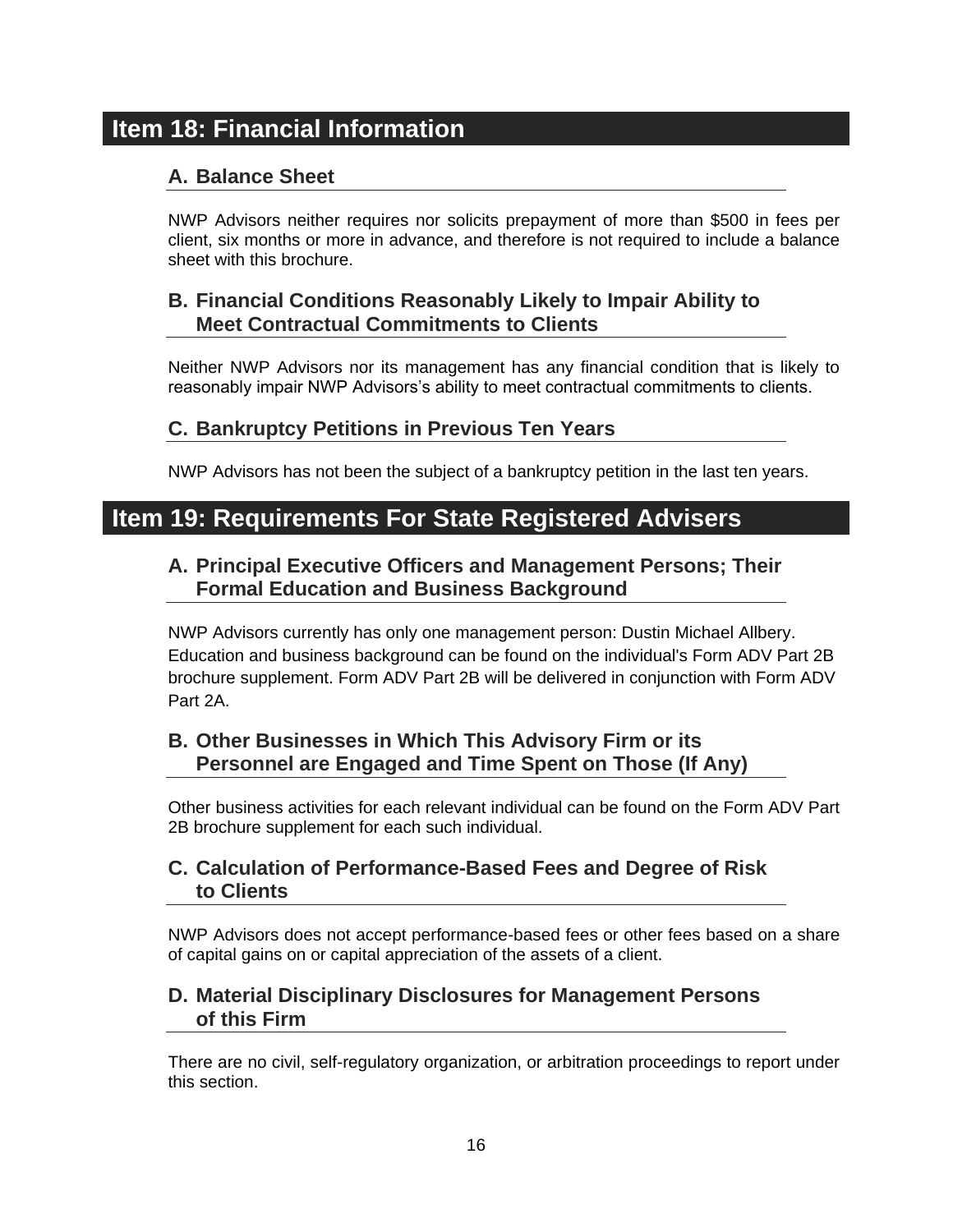## <span id="page-18-1"></span><span id="page-18-0"></span>**Item 18: Financial Information**

#### **A. Balance Sheet**

NWP Advisors neither requires nor solicits prepayment of more than \$500 in fees per client, six months or more in advance, and therefore is not required to include a balance sheet with this brochure.

#### <span id="page-18-2"></span>**B. Financial Conditions Reasonably Likely to Impair Ability to Meet Contractual Commitments to Clients**

Neither NWP Advisors nor its management has any financial condition that is likely to reasonably impair NWP Advisors's ability to meet contractual commitments to clients.

#### <span id="page-18-3"></span>**C. Bankruptcy Petitions in Previous Ten Years**

NWP Advisors has not been the subject of a bankruptcy petition in the last ten years.

## <span id="page-18-5"></span><span id="page-18-4"></span>**Item 19: Requirements For State Registered Advisers**

#### **A. Principal Executive Officers and Management Persons; Their Formal Education and Business Background**

NWP Advisors currently has only one management person: Dustin Michael Allbery. Education and business background can be found on the individual's Form ADV Part 2B brochure supplement. Form ADV Part 2B will be delivered in conjunction with Form ADV Part 2A.

#### <span id="page-18-6"></span>**B. Other Businesses in Which This Advisory Firm or its Personnel are Engaged and Time Spent on Those (If Any)**

Other business activities for each relevant individual can be found on the Form ADV Part 2B brochure supplement for each such individual.

#### <span id="page-18-7"></span>**C. Calculation of Performance-Based Fees and Degree of Risk to Clients**

NWP Advisors does not accept performance-based fees or other fees based on a share of capital gains on or capital appreciation of the assets of a client.

#### <span id="page-18-8"></span>**D. Material Disciplinary Disclosures for Management Persons of this Firm**

There are no civil, self-regulatory organization, or arbitration proceedings to report under this section.